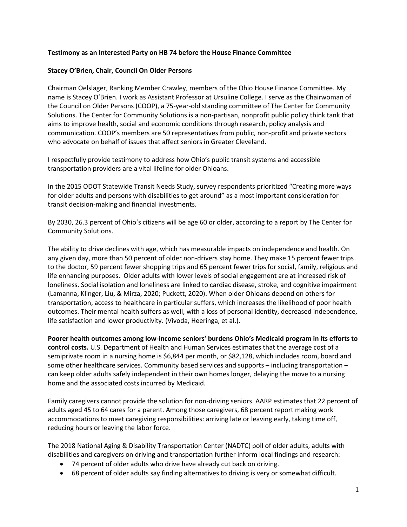## **Testimony as an Interested Party on HB 74 before the House Finance Committee**

## **Stacey O'Brien, Chair, Council On Older Persons**

Chairman Oelslager, Ranking Member Crawley, members of the Ohio House Finance Committee. My name is Stacey O'Brien. I work as Assistant Professor at Ursuline College. I serve as the Chairwoman of the Council on Older Persons (COOP), a 75-year-old standing committee of The Center for Community Solutions. The Center for Community Solutions is a non-partisan, nonprofit public policy think tank that aims to improve health, social and economic conditions through research, policy analysis and communication. COOP's members are 50 representatives from public, non-profit and private sectors who advocate on behalf of issues that affect seniors in Greater Cleveland.

I respectfully provide testimony to address how Ohio's public transit systems and accessible transportation providers are a vital lifeline for older Ohioans.

In the 2015 ODOT Statewide Transit Needs Study, survey respondents prioritized "Creating more ways for older adults and persons with disabilities to get around" as a most important consideration for transit decision-making and financial investments.

By 2030, 26.3 percent of Ohio's citizens will be age 60 or older, according to a report by The Center for Community Solutions.

The ability to drive declines with age, which has measurable impacts on independence and health. On any given day, more than 50 percent of older non-drivers stay home. They make 15 percent fewer trips to the doctor, 59 percent fewer shopping trips and 65 percent fewer trips for social, family, religious and life enhancing purposes. Older adults with lower levels of social engagement are at increased risk of loneliness. Social isolation and loneliness are linked to cardiac disease, stroke, and cognitive impairment (Lamanna, Klinger, Liu, & Mirza, 2020; Puckett, 2020). When older Ohioans depend on others for transportation, access to healthcare in particular suffers, which increases the likelihood of poor health outcomes. Their mental health suffers as well, with a loss of personal identity, decreased independence, life satisfaction and lower productivity. (Vivoda, Heeringa, et al.).

**Poorer health outcomes among low-income seniors' burdens Ohio's Medicaid program in its efforts to control costs.** U.S. Department of Health and Human Services estimates that the average cost of a semiprivate room in a nursing home is \$6,844 per month, or \$82,128, which includes room, board and some other healthcare services. Community based services and supports – including transportation – can keep older adults safely independent in their own homes longer, delaying the move to a nursing home and the associated costs incurred by Medicaid.

Family caregivers cannot provide the solution for non-driving seniors. AARP estimates that 22 percent of adults aged 45 to 64 cares for a parent. Among those caregivers, 68 percent report making work accommodations to meet caregiving responsibilities: arriving late or leaving early, taking time off, reducing hours or leaving the labor force.

The 2018 National Aging & Disability Transportation Center (NADTC) poll of older adults, adults with disabilities and caregivers on driving and transportation further inform local findings and research:

- 74 percent of older adults who drive have already cut back on driving.
- 68 percent of older adults say finding alternatives to driving is very or somewhat difficult.